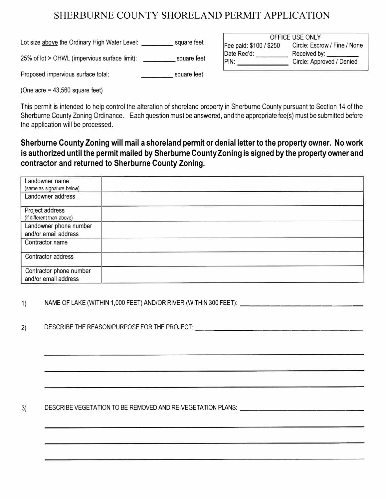## SHERBURNE COUNTY SHORELAND PERMIT APPLICATION

Lot size above the Ordinary High Water Level: square feet

25% of lot > OHWL (impervious surface limit): \_\_\_ square feet

Proposed impervious surface total: \_\_\_ square feet

| OFFICE USE ONLY         |                              |  |  |  |
|-------------------------|------------------------------|--|--|--|
| Fee paid: \$100 / \$250 | Circle: Escrow / Fine / None |  |  |  |
| Date Rec'd:             | Received by: _               |  |  |  |
| PIN:                    | Circle: Approved / Denied    |  |  |  |
|                         |                              |  |  |  |

(One acre  $= 43,560$  square feet)

This permit is intended to help control the alteration of shoreland property in Sherburne County pursuant to Section 14 of the Sherburne County Zoning Ordinance. Each question must be answered, and the appropriate fee(s) must be submitted before the application will be processed.

## **Sherburne County Zoning will mail a shoreland permit or denial letter to the property owner. No work is authorized until the permit mailed by Sherburne County Zoning is signed by the property owner and contractor and returned to Sherburne County Zoning.**

| Landowner name<br>(same as signature below)     |  |
|-------------------------------------------------|--|
| Landowner address                               |  |
| Project address<br>(if different than above)    |  |
| Landowner phone number<br>and/or email address  |  |
| Contractor name                                 |  |
| Contractor address                              |  |
| Contractor phone number<br>and/or email address |  |

1) NAME OF LAKE (WITHIN 1,000 FEET) AND/OR RIVER (WITHIN 300 FEET}: ------------

2) DESCRIBE THE REASON/PURPOSE FOR THE PROJECT:  $\frac{1}{2}$ 

3) DESCRIBE VEGETATION TO BE REMOVED AND RE-VEGETATION PLANS: -------------